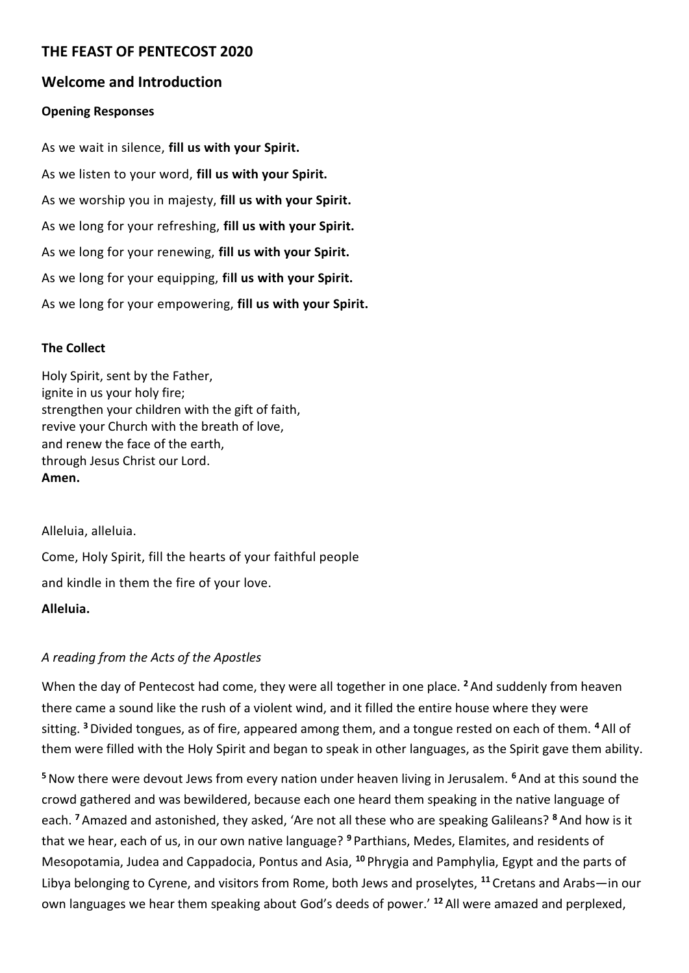# **THE FEAST OF PENTECOST 2020**

### **Welcome and Introduction**

#### **Opening Responses**

As we wait in silence, **fill us with your Spirit.** As we listen to your word, **fill us with your Spirit.** As we worship you in majesty, **fill us with your Spirit.** As we long for your refreshing, **fill us with your Spirit.** As we long for your renewing, **fill us with your Spirit.** As we long for your equipping, **f**i**ll us with your Spirit.** As we long for your empowering, **fill us with your Spirit.**

#### **The Collect**

Holy Spirit, sent by the Father, ignite in us your holy fire; strengthen your children with the gift of faith, revive your Church with the breath of love, and renew the face of the earth, through Jesus Christ our Lord. **Amen.**

Alleluia, alleluia.

Come, Holy Spirit, fill the hearts of your faithful people and kindle in them the fire of your love.

### **Alleluia.**

### *A reading from the Acts of the Apostles*

When the day of Pentecost had come, they were all together in one place. **<sup>2</sup>** And suddenly from heaven there came a sound like the rush of a violent wind, and it filled the entire house where they were sitting. **<sup>3</sup>**Divided tongues, as of fire, appeared among them, and a tongue rested on each of them. **<sup>4</sup>** All of them were filled with the Holy Spirit and began to speak in other languages, as the Spirit gave them ability.

**<sup>5</sup>**Now there were devout Jews from every nation under heaven living in Jerusalem. **<sup>6</sup>** And at this sound the crowd gathered and was bewildered, because each one heard them speaking in the native language of each. **<sup>7</sup>** Amazed and astonished, they asked, 'Are not all these who are speaking Galileans? **<sup>8</sup>** And how is it that we hear, each of us, in our own native language? **<sup>9</sup>** Parthians, Medes, Elamites, and residents of Mesopotamia, Judea and Cappadocia, Pontus and Asia, **<sup>10</sup>** Phrygia and Pamphylia, Egypt and the parts of Libya belonging to Cyrene, and visitors from Rome, both Jews and proselytes, **<sup>11</sup>** Cretans and Arabs—in our own languages we hear them speaking about God's deeds of power.' **<sup>12</sup>** All were amazed and perplexed,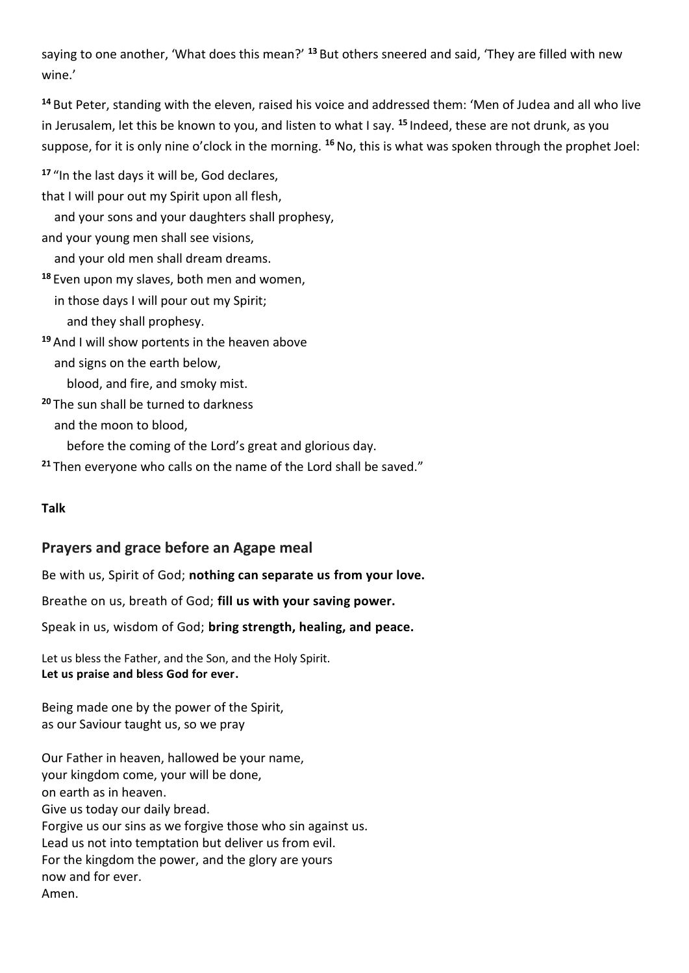saying to one another, 'What does this mean?' **<sup>13</sup>** But others sneered and said, 'They are filled with new wine.'

**<sup>14</sup>** But Peter, standing with the eleven, raised his voice and addressed them: 'Men of Judea and all who live in Jerusalem, let this be known to you, and listen to what I say. **<sup>15</sup>** Indeed, these are not drunk, as you suppose, for it is only nine o'clock in the morning. **<sup>16</sup>**No, this is what was spoken through the prophet Joel:

**<sup>17</sup>** "In the last days it will be, God declares,

that I will pour out my Spirit upon all flesh,

and your sons and your daughters shall prophesy,

and your young men shall see visions,

and your old men shall dream dreams.

**<sup>18</sup>** Even upon my slaves, both men and women,

in those days I will pour out my Spirit;

and they shall prophesy.

**<sup>19</sup>** And I will show portents in the heaven above

and signs on the earth below,

blood, and fire, and smoky mist.

**<sup>20</sup>** The sun shall be turned to darkness

and the moon to blood,

before the coming of the Lord's great and glorious day.

**<sup>21</sup>** Then everyone who calls on the name of the Lord shall be saved."

### **Talk**

# **Prayers and grace before an Agape meal**

Be with us, Spirit of God; **nothing can separate us from your love.**

Breathe on us, breath of God; **fill us with your saving power.**

Speak in us, wisdom of God; **bring strength, healing, and peace.**

Let us bless the Father, and the Son, and the Holy Spirit. **Let us praise and bless God for ever.**

Being made one by the power of the Spirit, as our Saviour taught us, so we pray

Our Father in heaven, hallowed be your name, your kingdom come, your will be done, on earth as in heaven. Give us today our daily bread. Forgive us our sins as we forgive those who sin against us. Lead us not into temptation but deliver us from evil. For the kingdom the power, and the glory are yours now and for ever. Amen.